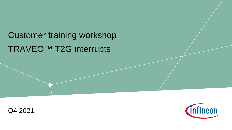# TRAVEO™ T2G interrupts Customer training workshop



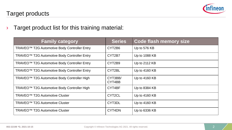

› Target product list for this training material:

| <b>Family category</b>                                   | Series            | <b>Code flash memory size</b> |
|----------------------------------------------------------|-------------------|-------------------------------|
| TRAVEO <sup>™</sup> T2G Automotive Body Controller Entry | CYT2B6            | Up to 576 KB                  |
| TRAVEO <sup>™</sup> T2G Automotive Body Controller Entry | CYT2B7            | Up to 1088 KB                 |
| TRAVEO <sup>™</sup> T2G Automotive Body Controller Entry | CYT2B9            | Up to 2112 KB                 |
| TRAVEO <sup>™</sup> T2G Automotive Body Controller Entry | CYT2BL            | Up to 4160 KB                 |
| TRAVEO <sup>™</sup> T2G Automotive Body Controller High  | CYT3BB/<br>CYT4BB | Up to 4160 KB                 |
| TRAVEO <sup>™</sup> T2G Automotive Body Controller High  | CYT4BF            | Up to 8384 KB                 |
| TRAVEO <sup>™</sup> T2G Automotive Cluster               | CYT2CL            | Up to 4160 KB                 |
| TRAVEO <sup>™</sup> T2G Automotive Cluster               | CYT3DL            | Up to 4160 KB                 |
| TRAVEO <sup>™</sup> T2G Automotive Cluster               | CYT4DN            | Up to 6336 KB                 |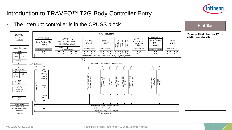

## Introduction to TRAVEO™ T2G Body Controller Entry

#### $\rightarrow$  The interrupt controller is in the CPUSS block **Hint Bar**  CPU Subsystem **Review TRM chapter 12 for**  CYT2BL **additional details** MXS40-HT SWJ/MTB/CTI SWJ/ETM/ITM/CTI CRYPTO eCT Flash ASIL-B SRAM0 SRAM1 Arm Cortex ROM 92 Channel P-DMA1<br>44 Chamel<br>P-DMA0 44 Channel M-DMA0 4 Channel AES, SHA, CRC, 4160 KB Code-flash + Arm Cortex M4 256 KB 256 KB TRNG, RSA,  $M<sub>0+</sub>$ 32 KB 128 KB Work-flash 160 MHz ECC 100 MHz 8 KB \$ 8 KB \$ System Resources FPU, **NVIC**, MPU SRAM Controller SRAM Controller Initiator/MMIO MUL, **NVIC**, MPU ROM Controller FLASH Controller **Power** イア イト ſì  $\hat{1}$ ſì ſì íì Ĵὶ - L ſř ĴС ┐ Sleep Control POR<sub>1</sub> BOD System Interconnect (Multi Layer AHB, IPC, MPU/SMPU) OVD LVD REF ſ PWRSYS-HT LDO Peripheral Interconnect (MMIO, PPU) **PCLK** DIESS SSOI<br>  $\left\{\begin{array}{c} P_{\text{CL}} \\ P_{\text{CL}} \end{array}\right\}$ Įţ ſÈ Ĵζ **Clock** ו ר ЭC ĴС Clock Control Prog. 2xILO WDT IMO ECO Analog TIMER, CTR, QD, PWM FLL **CSV EVTGEN**<br>Event Generator **BX CANFD<br>CAN-FD Interface** Event Generator SAR ADC 1xPLL **7x SCB**<br>I2C, SPI, UART CAN-FD Interface 83x TCPWM High-Speed I/O Matrix, Smart I/O, Boundary Scan High-Speed I/O Matrix, Smart I/O, Boundary Scan 1x Scan 1x Scan 1x Scan 1x Scan 1x Scan 1x Scan 1x Scan 1x Scan 1x Scan 1x Scan 1x Scan 1x Scan 1x Scan 1x Scan 1x Scan 1x Sc CXPI Interface I2C, SPI, UART 8x CANFD 4x CXPI<br><sup>XPI Interface</sup> 12x LIN (12-bit) EVTGEN LIN/UART 1024 bit eFUSE **Reset** Reset Control **OSS GPIO** XRES **Test** x3 TestMode Entry Digital DFT Analog DFT  $\frac{WCO}{C}$  64 ch RTC **Power Modes** Active/Sleep LowePowerActive/Sleep 5x Smart I/O Up to 148x GPIO\_STD, 4x GPIO\_ENH DeepSleep I/O Subsystem Hibernate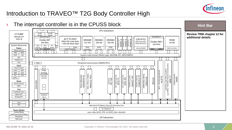

## Introduction to TRAVEO™ T2G Body Controller High

#### $\rightarrow$  The interrupt controller is in the CPUSS block **Hint Bar**  CPU Subsystem **ITCM** DTCM ITCM KB DTCM KB CYT4BF **Review TRM chapter 12 for**   $16 KB$ 16 KB MXS40-HT **additional details** SWJ/MTB/CTI SWJ/ETM/ITM/CTI eCT FLASH ASIL-B M-DMAO<br>8 Channel CRYPTO SRAM1 SRAM2 SRAM0 143 Channel Cortex M7 P-DMA1<br>65 Channel<br>P-DMA0 65 Channel M-DMA0 ROM 8 Channel 8384 KB Code flash AES,SHA,CRC, Cortex M0+ 256 KB 512 KB 256 KB 64 KB 350 MHz + 256 KB Work flash TRNG,RSA,ECC 100 MHz System Resources FPU<sup>D</sup>  $\overline{\phantom{a}}$ ╼ D\$ I\$  $\frac{160}{16 \text{ KB}}$  16 KB  $\frac{160}{16 \text{ KB}}$ (SP/DP) 16 KB 8 KB \$ SRAM SRAM SRAM **Power** Initiator/MMIO ROM Controller FLASH Controller Controller Controller Controller MUL, **NVIC**, MPU AHBP NVIC, MPU, AXI AHBS Sleep Control - T ſÌ イト íì ÍÌ 介 ſì ſÌ i ì  $\mathfrak{I}$ POR BOD OVP LVD System Interconnect (Multi Layer AXI/AHB, IPC, MPU/SMPU) REF ĴĴ PWRSYS-HT LDO  $PCLK$ Peripheral Interconnect (MMIO,PPU)  $\begin{array}{c} \n\hline\n\text{D} \text{H3} \text{S} \text{S} \text{O} \text{I} \quad \text{I} \quad \text{I} \quad \text{I} \quad \text{I} \quad \text{I} \quad \text{I} \quad \text{I} \quad \text{I} \quad \text{I} \quad \text{I} \quad \text{I} \quad \text{I} \quad \text{I} \quad \text{I} \quad \text{I} \quad \text{I} \quad \text{I} \quad \text{I} \quad \text{I} \quad \text{I} \quad \text{I} \quad \text{I} \quad \text{I} \quad \text{I} \quad \text{I} \$ ő٤ Serial Memory Interface (Hyperbus, Single SPI, **Clock** ĴÇ ſÌ Clock Control 1x SMIF<br>Memory Interface (Hyperbus, '<br>Dual SPI, Quad SPI, Octal S Dual SPI, Quad SPI, Octal SPI) Prog. 2x ETH<br>10/100/1000 Ethernet + 2xILO WDT 10/100/1000 Ethernet + AVB IMO ECO Analog CAN-FD Interace<br>
CAN-FD Interace<br>
10x SCB<br>
10x SCB<br>
20x LIN<br>
20x LIN<br>
20x LIN<br>
20x LIN<br>
20x LIN<br>
20x LIN<br>
20x LIN<br>
20x LIN<br>
20x LIN<br>
20x LIN<br>
20x LIN<br>
20x LIN<br>
20x LIN<br>
20x LIN<br>
20x LIN<br>
20x LIN<br>
20x LIN<br>
20x LIN<br>
20x LIN<br> SDHC<br>SDHC<br>OHOS **EVTGEN**<br>Event Generator SD/SDIO/eMMC CSV 3x AUDIOSS<br>I2S/TDM In/Out 1x SCB<br><sup>12C,SPI,UART,LIN</sup> 1x FLEXRAY<br><sup>FlexRay Interface</sup> Event Generator FLL SAR ADC I2S/TDM In/Out I2C,SPI,UART,LIN I2C,SPI,UART,LIN 3x AUDIOSS 1x FLEXRAY FlexRay Interface 4xPLL EVTGEN (12-bit) 20x LIN 10x SCB EFUSE LIN/UART -FD Interface **IOSS GPIO Reset** Reset Control XRES AVE  $\vert x3 \vert$ s, Single<br>SPI) **Test** TestMode Entry  $\frac{9}{5}$ Digital DFT SARMUX Analog DFT 96 ch WCO RTC High Speed I/O Matrix, Smart I/O, Boundary Scan 5x Smart IO **Power Modes** Active/Sleep Up to 196x GPIO\_STD, 4x GPIO\_ENH, 40xHSIO LowPowerActive/Sleep DeepSleep I/O Subsystem Hibernate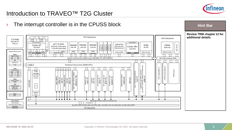

### Introduction to TRAVEO™ T2G Cluster

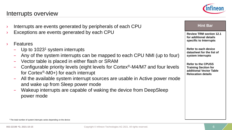#### **002-22198 \*D, 2021-10-15** Copyright © Infineon Technologies AG 2021. All rights reserved. 6 **6 6 6 6 6 6**

### Interrupts overview

- Interrupts are events generated by peripherals of each CPU
- Exceptions are events generated by each CPU
- **Features** 
	- $-$  Up to 1023<sup>1</sup> system interrupts
	- Any of the system interrupts can be mapped to each CPU NMI (up to four)
	- Vector table is placed in either flash or SRAM
	- Configurable priority levels (eight levels for Cortex®-M4/M7 and four levels for Cortex®-M0+) for each interrupt
	- All the available system interrupt sources are usable in Active power mode and wake up from Sleep power mode
	- Wakeup interrupts are capable of waking the device from DeepSleep power mode



**Review TRM section 12.1 for additional details specific to Interrupts**

**Refer to each device datasheet for the list of system interrupts**

**Refer to the CPUSS Training Section for additional Vector Table Relocation details**

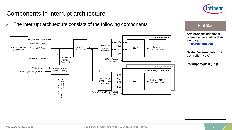

### Components in interrupt architecture

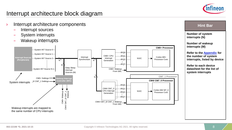

### Interrupt architecture block diagram

- › Interrupt architecture components
	- Interrupt sources
	- System interrupts
	- Wakeup interrupts



#### **Hint Bar**

**Number of system interrupts (N)**

**Number of wakeup interrupts (M)**

**Refer to the [Appendix](#page-22-0) for the number of system interrupts, listed by device**

**Refer to each device datasheet for the list of system interrupts**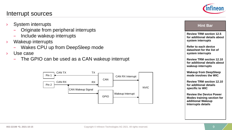#### Interrupt sources

- System interrupts
	- Originate from peripheral interrupts
	- Include wakeup interrupts
- › Wakeup interrupts
	- Wakes CPU up from DeepSleep mode
- › Use case
	- The GPIO can be used as a CAN wakeup interrupt





#### **Hint Bar**

**Review TRM section 12.5 for additional details about system interrupts**

**Refer to each device datasheet for the list of system interrupts**

**Review TRM section 12.10 for additional details about wakeup interrupts**

**Wakeup from DeepSleep mode involves the WIC** 

**Review TRM section 12.10 for additional details specific to WIC**

**Review the Device Power Modes training section for additional Wakeup Interrupts details**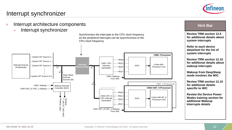# nfineon

## Interrupt synchronizer

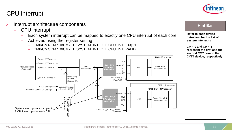## CPU interrupt

- Interrupt architecture components
	- CPU interrupt
		- Each system interrupt can be mapped to exactly one CPU interrupt of each core
		- Achieved using the register setting
			- CM0/CM4/CM7\_0/CM7\_1\_SYSTEM\_INT\_CTL.CPU\_INT\_IDX[2:0]
			- CM0/CM4/CM7\_0/CM7\_1\_SYSTEM\_INT\_CTL.CPU\_INT\_VALID



#### **Hint Bar**

**Refer to each device datasheet for the list of system interrupts**

**CM7\_0 and CM7\_1 represent the first and the second CM7 core in the CYT4 device, respectively**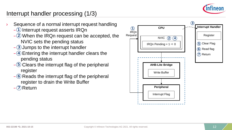

## Interrupt handler processing (1/3)

- Sequence of a normal interrupt request handling  $-\!\!\!1$  Interrupt request asserts IRQn  $-$ (2) When the IRQn request can be accepted, the NVIC sets the pending status
	- $-$ (3) Jumps to the interrupt handler
	- $-\left( 4\right)$  Entering the interrupt handler clears the pending status
	- $-\left(5\right)$  Clears the interrupt flag of the peripheral register
	- $-\epsilon$  Reads the interrupt flag of the peripheral register to drain the Write Buffer

 $-\sqrt{2}$  Return

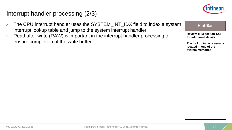

## Interrupt handler processing (2/3)

- › The CPU interrupt handler uses the SYSTEM\_INT\_IDX field to index a system interrupt lookup table and jump to the system interrupt handler
- $\angle$  Read after write (RAW) is important in the interrupt handler processing to ensure completion of the write buffer



**Review TRM section 12.5 for additional details**

**The lookup table is usually located in one of the system memories**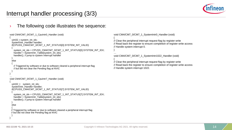

## Interrupt handler processing (3/3)

#### The following code illustrates the sequence:

```
void CM4/CM7_0/CM7_1_CpuIntr0_Handler (void)
{
 uint32_t system_int_idx;
 SystemIntr_Handler handler;
 if(CPUSS_CM4/CM7_0/CM7_1_INT_STATUS[0].SYSTEM_INT_VALID)
  {
   system_int_idx = CPUSS_CM4/CM7_0/CM7_1_INT_STATUS[0].SYSTEM_INT_IDX;
   handler = SystemIntr_Table[system_int_idx];
   handler(); // jump to system interrupt handler
  }
 else
  {
   // Triggered by software or due to software cleared a peripheral interrupt flag
   // but did not clear the Pending flag at NVIC
  }
}
…
void CM4/CM7_0/CM7_1_CpuIntr7_Handler (void)
{
 uint32_t system_int_idx;
 SystemIntr_Handler handler;
 if(CPUSS_CM4/CM7_0/CM7_1_INT_STATUS[7].SYSTEM_INT_VALID)
  {
   system_int_idx = CPUSS_CM4/CM7_0/CM7_1_INT_STATUS[7].SYSTEM_INT_IDX;
   handler = SystemIntr_Table[system_int_idx];
   handler(); // jump to system interrupt handler 
  }
 else
  {
 // Triggered by software or due to software cleared a peripheral interrupt flag
 // but did not clear the Pending flag at NVIC
  }
}
```
void CM4/CM7\_0/CM7\_1\_SystemIntr0\_Handler (void)

{ // Clear the peripheral interrupt request flag by register write // Read back the register to ensure completion of register write access // Handle system interrupt 0.

void CM4/CM7\_0/CM7\_1\_SystemIntr1022\_Handler (void)

```
{
// Clear the peripheral interrupt request flag by register write
// Read back the register to ensure completion of register write access
// Handle system interrupt 1022.
```
} …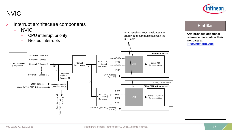NVIC



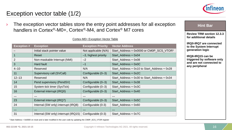

## Exception vector table (1/2)

 $\rightarrow$  The exception vector tables store the entry point addresses for all exception handlers in Cortex®-M0+, Cortex®-M4, and Cortex® M7 cores

#### Cortex-M0+ Exception Vector Table

| <b>Exception #</b> | <b>Exception</b>                                             | <b>Exception Priority</b>                                    | <b>Vector Address</b>                                        |
|--------------------|--------------------------------------------------------------|--------------------------------------------------------------|--------------------------------------------------------------|
|                    | Initial stack pointer value                                  | Not applicable (N/A)                                         | Start_Address = 0x0000 or CM0P_SCS_VTOR <sup>1</sup>         |
|                    | Reset                                                        | $-3$ , highest priority                                      | Start Address + 0x04                                         |
| 2                  | Non-maskable Interrupt (NMI)                                 | $-2$                                                         | Start Address + 0x08                                         |
| $\mathbf{3}$       | <b>Hard fault</b>                                            | $-1$                                                         | Start_Address + 0x0C                                         |
| $4 - 10$           | Reserved                                                     | N/A                                                          | Start_Address + 0x10 to Start_Address + 0x28                 |
| 11                 | Supervisory call (SVCall)                                    | Configurable $(0-3)$                                         | Start_Address + 0x2C                                         |
| $12 - 13$          | Reserved                                                     | N/A                                                          | Start_Address + 0x30 to Start_Address + 0x34                 |
| 14                 | Pend supervisory (PendSV)                                    | Configurable (0-3)                                           | Start Address + 0x38                                         |
| 15                 | System tick timer (SysTick)                                  | Configurable $(0-3)$                                         | Start Address + 0x3C                                         |
| 16                 | External interrupt (IRQ0)                                    | Configurable $(0-3)$                                         | Start_Address + 0x40                                         |
| $\sim 0.00$        | $\sim$ $\sim$ $\sim$                                         | $\cdots$                                                     | $\begin{array}{ccc} \bullet & \bullet & \bullet \end{array}$ |
| 23                 | External interrupt (IRQ7)                                    | Configurable (0-3)                                           | Start Address + 0x5C                                         |
| 24                 | Internal (SW only) interrupt (IRQ8)                          | Configurable (0-3)                                           | Start Address + 0x60                                         |
| $\sim$ $\sim$      | $\begin{array}{ccc} \bullet & \bullet & \bullet \end{array}$ | $\begin{array}{ccc} \bullet & \bullet & \bullet \end{array}$ | $\begin{array}{ccc} \bullet & \bullet & \bullet \end{array}$ |
| 31                 | Internal (SW only) interrupt (IRQ15)                         | Configurable (0-3)                                           | Start Address + 0x7C                                         |

#### **Hint Bar**

**Review TRM section 12.3.3 for additional details**

**IRQ0-IRQ7 are connected to the System Interrupt generation logic**

**IRQ8-IRQ15 can be triggered by software only and are not connected to any peripheral**

1 Start Address = 0x0000 on reset and is later modified in the user code by updating the CM0P\_SCS\_VTOR register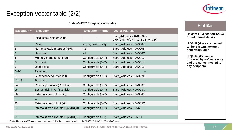

### Exception vector table (2/2)

|                    |                                      | Cortex-M4/M7 Exception vector table |                                                          | <b>Hint Bar</b>                                    |
|--------------------|--------------------------------------|-------------------------------------|----------------------------------------------------------|----------------------------------------------------|
| <b>Exception #</b> | <b>Exception</b>                     | <b>Exception Priority</b>           | <b>Vector Address</b>                                    |                                                    |
|                    | Initial stack pointer value          |                                     | Start_Address = $0x0000$ or<br>CM4/CM7_0/CM7_1_SCS_VTOR1 | <b>Review TRM section</b><br>for additional detail |
|                    | <b>Reset</b>                         | -3, highest priority                | Start_Address + 0x0004                                   | <b>IRQ0-IRQ7</b> are conn                          |
| $\overline{2}$     | Non-maskable Interrupt (NMI)         | $-2$                                | Start_Address + 0x0008                                   | to the System Interr<br>generation logic           |
| $\mathbf{3}$       | Hard fault                           |                                     | Start_Address + 0x000C                                   |                                                    |
| $\overline{4}$     | Memory management fault              | Configurable (0-7)                  | Start_Address + 0x0010                                   | IRQ8-IRQ15 can be<br>triggered by softwa           |
| 5                  | <b>Bus fault</b>                     | Configurable (0-7)                  | Start_Address + 0x0014                                   | and are not connect                                |
| 6                  | Usage fault                          | Configurable (0-7)                  | Start_Address + 0x0018                                   | any peripheral                                     |
| $7 - 10$           | Reserved                             |                                     |                                                          |                                                    |
| 11                 | Supervisory call (SVCall)            | Configurable (0-7)                  | Start_Address + 0x002C                                   |                                                    |
| $12 - 13$          | Reserved                             |                                     |                                                          |                                                    |
| 14                 | Pend supervisory (PendSV)            | Configurable (0-7)                  | Start_Address + 0x0038                                   |                                                    |
| 15                 | System tick timer (SysTick)          | Configurable (0-7)                  | Start_Address + 0x003C                                   |                                                    |
| 16                 | External interrupt (IRQ0)            | Configurable (0-7)                  | Start_Address + 0x0040                                   |                                                    |
| $\sim 0.001$       | $\sim 100$                           |                                     | .                                                        |                                                    |
| 23                 | External interrupt (IRQ7)            | Configurable (0-7)                  | Start_Address + 0x005C                                   |                                                    |
| 24                 | Internal (SW only) interrupt (IRQ8)  | Configurable (0-7)                  | Start _Address + 0x60                                    |                                                    |
| $\sim 100$         | $\sim$ $\sim$ $\sim$                 |                                     |                                                          |                                                    |
| 31                 | Internal (SW only) interrupt (IRQ15) | Configurable (0-7)                  | Start Address + 0x7C                                     |                                                    |

**Review TRM section 12.3.3 for additional details**

**IRQ0-IRQ7 are connected to the System Interrupt generation logic**

**IRQ8-IRQ15 can be triggered by software only and are not connected to any peripheral**

<sup>1</sup> Start Address = 0x0000 on reset and is later modified by the user code by updating the CM4/CM7\_0/CM7\_1\_SCS\_VTOR register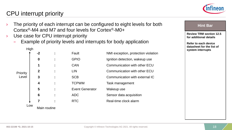## CPU interrupt priority

- The priority of each interrupt can be configured to eight levels for both Cortex®-M4 and M7 and four levels for Cortex®-M0+
- › Use case for CPU interrupt priority
	- Example of priority levels and interrupts for body application





#### **Hint Bar**

**Review TRM section 12.5 for additional details**

**Refer to each device datasheet for the list of system interrupts**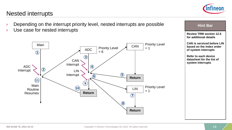

### Nested interrupts

- Depending on the interrupt priority level, nested interrupts are possible
- › Use case for nested interrupts



#### **Review TRM section 12.5 for additional details CAN is serviced before LIN based on the index order of system interrupts**

**Hint Bar** 

**Refer to each device datasheet for the list of system interrupts**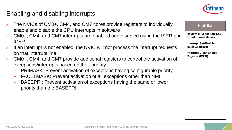

## Enabling and disabling interrupts

| The NVICs of CM0+, CM4, and CM7 cores provide registers to individually<br>enable and disable the CPU interrupts in software                                                                                                                                                                                                                                                                    | <b>Hint Bar</b>                                          |
|-------------------------------------------------------------------------------------------------------------------------------------------------------------------------------------------------------------------------------------------------------------------------------------------------------------------------------------------------------------------------------------------------|----------------------------------------------------------|
| CM0+, CM4, and CM7 interrupts are enabled and disabled using the ISER and<br>$\sum_{i=1}^{n}$                                                                                                                                                                                                                                                                                                   | <b>Review TRM section 12.7</b><br>for additional details |
| <b>ICER</b><br>If an interrupt is not enabled, the NVIC will not process the interrupt requests<br>$\sum_{i=1}^{n}$                                                                                                                                                                                                                                                                             | <b>Interrupt Set-Enable</b><br><b>Register (ISER)</b>    |
| on that interrupt line                                                                                                                                                                                                                                                                                                                                                                          | <b>Interrupt Clear-Enable</b>                            |
| CM0+, CM4, and CM7 provide additional registers to control the activation of<br>$\lambda$<br>exceptions/interrupts based on their priority<br>- PRIMASK: Prevent activation of exceptions having configurable priority<br>- FAULTMASK: Prevent activation of all exceptions other than NMI<br>- BASEPRI: Prevent activation of exceptions having the same or lower<br>priority than the BASEPRI | <b>Register (ICER)</b>                                   |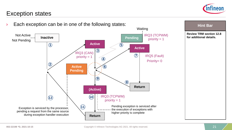

**Hint Bar** 

### Exception states

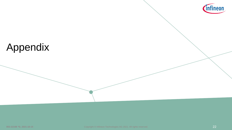

# Appendix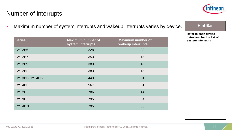

## <span id="page-22-0"></span>Number of interrupts

› Maximum number of system interrupts and wakeup interrupts varies by device.

| <b>Series</b> | <b>Maximum number of</b><br>system interrupts | <b>Maximum number of</b><br>wakeup interrupts |
|---------------|-----------------------------------------------|-----------------------------------------------|
| CYT2B6        | 228                                           | 38                                            |
| CYT2B7        | 353                                           | 45                                            |
| CYT2B9        | 383                                           | 45                                            |
| CYT2BL        | 383                                           | 45                                            |
| CYT3BB/CYT4BB | 443                                           | 51                                            |
| CYT4BF        | 567                                           | 51                                            |
| CYT2CL        | 786                                           | 44                                            |
| CYT3DL        | 795                                           | 34                                            |
| CYT4DN        | 795                                           | 38                                            |

#### **Hint Bar**

**Refer to each device datasheet for the list of system interrupts**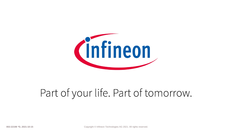

# Part of your life. Part of tomorrow.

**002-22198 \*D, 2021-10-15** Copyright © Infineon Technologies AG 2021. All rights reserved.